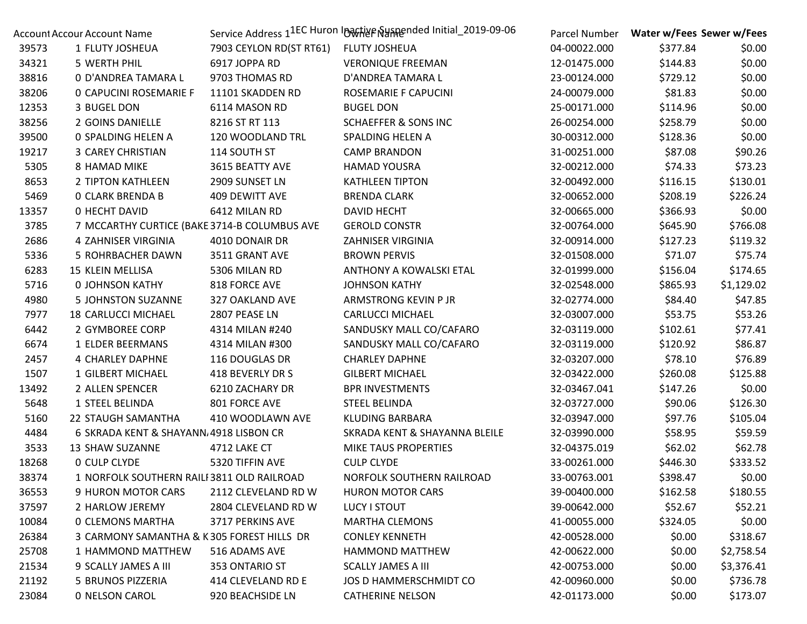| Account Accour Account Name |                                              | Service Address 11EC Huron Inactive Suspended Initial_2019-09-06 |                                 | Parcel Number |          | Water w/Fees Sewer w/Fees |
|-----------------------------|----------------------------------------------|------------------------------------------------------------------|---------------------------------|---------------|----------|---------------------------|
| 39573                       | 1 FLUTY JOSHEUA                              | 7903 CEYLON RD(ST RT61)                                          | <b>FLUTY JOSHEUA</b>            | 04-00022.000  | \$377.84 | \$0.00                    |
| 34321                       | 5 WERTH PHIL                                 | 6917 JOPPA RD                                                    | <b>VERONIQUE FREEMAN</b>        | 12-01475.000  | \$144.83 | \$0.00                    |
| 38816                       | 0 D'ANDREA TAMARA L                          | 9703 THOMAS RD                                                   | D'ANDREA TAMARA L               | 23-00124.000  | \$729.12 | \$0.00                    |
| 38206                       | <b>0 CAPUCINI ROSEMARIE F</b>                | 11101 SKADDEN RD                                                 | ROSEMARIE F CAPUCINI            | 24-00079.000  | \$81.83  | \$0.00                    |
| 12353                       | 3 BUGEL DON                                  | 6114 MASON RD                                                    | <b>BUGEL DON</b>                | 25-00171.000  | \$114.96 | \$0.00                    |
| 38256                       | 2 GOINS DANIELLE                             | 8216 ST RT 113                                                   | <b>SCHAEFFER &amp; SONS INC</b> | 26-00254.000  | \$258.79 | \$0.00                    |
| 39500                       | 0 SPALDING HELEN A                           | 120 WOODLAND TRL                                                 | SPALDING HELEN A                | 30-00312.000  | \$128.36 | \$0.00                    |
| 19217                       | <b>3 CAREY CHRISTIAN</b>                     | 114 SOUTH ST                                                     | <b>CAMP BRANDON</b>             | 31-00251.000  | \$87.08  | \$90.26                   |
| 5305                        | 8 HAMAD MIKE                                 | 3615 BEATTY AVE                                                  | <b>HAMAD YOUSRA</b>             | 32-00212.000  | \$74.33  | \$73.23                   |
| 8653                        | 2 TIPTON KATHLEEN                            | 2909 SUNSET LN                                                   | <b>KATHLEEN TIPTON</b>          | 32-00492.000  | \$116.15 | \$130.01                  |
| 5469                        | <b>0 CLARK BRENDA B</b>                      | 409 DEWITT AVE                                                   | <b>BRENDA CLARK</b>             | 32-00652.000  | \$208.19 | \$226.24                  |
| 13357                       | 0 HECHT DAVID                                | 6412 MILAN RD                                                    | DAVID HECHT                     | 32-00665.000  | \$366.93 | \$0.00                    |
| 3785                        | 7 MCCARTHY CURTICE (BAKE 3714-B COLUMBUS AVE |                                                                  | <b>GEROLD CONSTR</b>            | 32-00764.000  | \$645.90 | \$766.08                  |
| 2686                        | 4 ZAHNISER VIRGINIA                          | 4010 DONAIR DR                                                   | ZAHNISER VIRGINIA               | 32-00914.000  | \$127.23 | \$119.32                  |
| 5336                        | 5 ROHRBACHER DAWN                            | 3511 GRANT AVE                                                   | <b>BROWN PERVIS</b>             | 32-01508.000  | \$71.07  | \$75.74                   |
| 6283                        | 15 KLEIN MELLISA                             | 5306 MILAN RD                                                    | ANTHONY A KOWALSKI ETAL         | 32-01999.000  | \$156.04 | \$174.65                  |
| 5716                        | <b>0 JOHNSON KATHY</b>                       | 818 FORCE AVE                                                    | <b>JOHNSON KATHY</b>            | 32-02548.000  | \$865.93 | \$1,129.02                |
| 4980                        | <b>5 JOHNSTON SUZANNE</b>                    | 327 OAKLAND AVE                                                  | ARMSTRONG KEVIN P JR            | 32-02774.000  | \$84.40  | \$47.85                   |
| 7977                        | <b>18 CARLUCCI MICHAEL</b>                   | 2807 PEASE LN                                                    | <b>CARLUCCI MICHAEL</b>         | 32-03007.000  | \$53.75  | \$53.26                   |
| 6442                        | 2 GYMBOREE CORP                              | 4314 MILAN #240                                                  | SANDUSKY MALL CO/CAFARO         | 32-03119.000  | \$102.61 | \$77.41                   |
| 6674                        | 1 ELDER BEERMANS                             | 4314 MILAN #300                                                  | SANDUSKY MALL CO/CAFARO         | 32-03119.000  | \$120.92 | \$86.87                   |
| 2457                        | <b>4 CHARLEY DAPHNE</b>                      | 116 DOUGLAS DR                                                   | <b>CHARLEY DAPHNE</b>           | 32-03207.000  | \$78.10  | \$76.89                   |
| 1507                        | 1 GILBERT MICHAEL                            | 418 BEVERLY DR S                                                 | <b>GILBERT MICHAEL</b>          | 32-03422.000  | \$260.08 | \$125.88                  |
| 13492                       | 2 ALLEN SPENCER                              | 6210 ZACHARY DR                                                  | <b>BPR INVESTMENTS</b>          | 32-03467.041  | \$147.26 | \$0.00                    |
| 5648                        | 1 STEEL BELINDA                              | 801 FORCE AVE                                                    | <b>STEEL BELINDA</b>            | 32-03727.000  | \$90.06  | \$126.30                  |
| 5160                        | 22 STAUGH SAMANTHA                           | 410 WOODLAWN AVE                                                 | <b>KLUDING BARBARA</b>          | 32-03947.000  | \$97.76  | \$105.04                  |
| 4484                        | 6 SKRADA KENT & SHAYANN, 4918 LISBON CR      |                                                                  | SKRADA KENT & SHAYANNA BLEILE   | 32-03990.000  | \$58.95  | \$59.59                   |
| 3533                        | 13 SHAW SUZANNE                              | 4712 LAKE CT                                                     | MIKE TAUS PROPERTIES            | 32-04375.019  | \$62.02  | \$62.78                   |
| 18268                       | 0 CULP CLYDE                                 | 5320 TIFFIN AVE                                                  | <b>CULP CLYDE</b>               | 33-00261.000  | \$446.30 | \$333.52                  |
| 38374                       | 1 NORFOLK SOUTHERN RAILI 3811 OLD RAILROAD   |                                                                  | NORFOLK SOUTHERN RAILROAD       | 33-00763.001  | \$398.47 | \$0.00                    |
| 36553                       | 9 HURON MOTOR CARS                           | 2112 CLEVELAND RD W                                              | <b>HURON MOTOR CARS</b>         | 39-00400.000  | \$162.58 | \$180.55                  |
| 37597                       | 2 HARLOW JEREMY                              | 2804 CLEVELAND RD W                                              | LUCY I STOUT                    | 39-00642.000  | \$52.67  | \$52.21                   |
| 10084                       | 0 CLEMONS MARTHA                             | 3717 PERKINS AVE                                                 | <b>MARTHA CLEMONS</b>           | 41-00055.000  | \$324.05 | \$0.00                    |
| 26384                       | 3 CARMONY SAMANTHA & K305 FOREST HILLS DR    |                                                                  | <b>CONLEY KENNETH</b>           | 42-00528.000  | \$0.00   | \$318.67                  |
| 25708                       | 1 HAMMOND MATTHEW                            | 516 ADAMS AVE                                                    | <b>HAMMOND MATTHEW</b>          | 42-00622.000  | \$0.00   | \$2,758.54                |
| 21534                       | 9 SCALLY JAMES A III                         | 353 ONTARIO ST                                                   | <b>SCALLY JAMES A III</b>       | 42-00753.000  | \$0.00   | \$3,376.41                |
| 21192                       | 5 BRUNOS PIZZERIA                            | 414 CLEVELAND RD E                                               | JOS D HAMMERSCHMIDT CO          | 42-00960.000  | \$0.00   | \$736.78                  |
| 23084                       | <b>0 NELSON CAROL</b>                        | 920 BEACHSIDE LN                                                 | <b>CATHERINE NELSON</b>         | 42-01173.000  | \$0.00   | \$173.07                  |